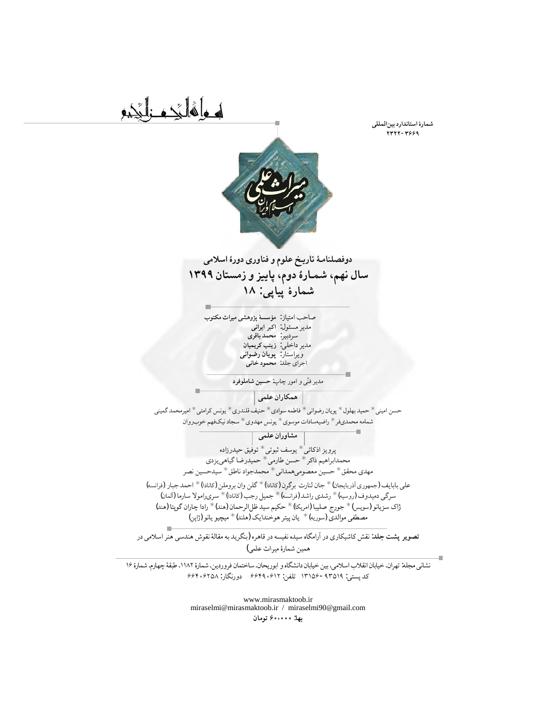**شمارۀ استاندارد بینالمللی ۲۳۲۲-۳۶۶۹**



او وا فُانِّی و غالبَجبو

## **دوفصلنامـۀ تاریـخ علوم و فناوری دورۀ اسلامی سال نهم، شمـارۀ دوم، پاییز و زمستان ١٣٩٩ شمارۀ پیاپی: ١٨**

صاحب امتیاز: **مؤسسۀ پژوهشی میراث مکتوب** مدیر مسئول: **اکبر ایرانی** سردبیر: **محمد باقری** مدیر داخلی**: زینب کریمیان** ویراستار: **پویان رضوانی** اجرای جلد: **محمود خانی**

ی و امور چاپ: ّ مدیر فن **حسین شاملوفرد**

**همكاران علمی**

حسن امینی \* حمید بهلول \* پویان رضوانی \* فاطمه سوادی \* حنیف قلندری \* یونس کرامتی \* امیرمحمد گمینی شمامه محمدیفر \* راضیهسادات موسوی \* یونس مهدوی \* سجاد نیکفهم خوبروان

**مشاوران علمی**

پرویز اذکائی \* یوسف ثبوتی \* توفیق حیدرزاده محمدابراهیم ذاکر \* حسن طارمی \* حمیدرضا گیاهییزدی مهدی محقق \* حسین معصومیهمدانی \* محمدجواد ناطق \* سیدحسین نصر

علی بابایف (جمهوری آذربایجان) \* جان لنارت برگرن (کانادا) \* گلن وان بروملن (کانادا) \* احمد جبار (فرانسه) سرگی دمیدوف (روسیه) \* رشدی راشد (فرانسه) \* جمیل رجب (کانادا) \* سریرامولا سارما (آلمان) ژاک سزیانو (سویس) \* جورج صلیبا (امریکا) \* حکیم سید ظلالرحمان (هند) \* رادا چاران گوپتا (هند) مصطفی موالدی (سوریه) \* یان پیتر هوخندایک (هلند) \* میچیو یانو (ژاپن)

**تصویر پشت جلد**: نقش کاشیکاری درآرامگاه سیده نفیسه درقاهره (بنگرید به مقالۀ نقوش هندسی هنر اسلامی در همین شمارۀ *میراث علمی*)

نشانی مجله: تهران، خیابان انقلاب اسلامی، بین خیابان دانشگاه و ابوریحان، ساختمان فروردین، شمارۀ ،١١٨٢ طبقۀ چهارم، شمارۀ ١٦ کد پستی: -٩٣٥١٩ ١٣١٥٦ تلفن: ٦٦٤٩٠٦١٢ دورنگار: ٦٦٤٠٦٢٥٨

> www.mirasmaktoob.ir miraselmi@mirasmaktoob.ir / miraselmi90@gmail.com **بها: ۶۰٫۰۰۰ تومان**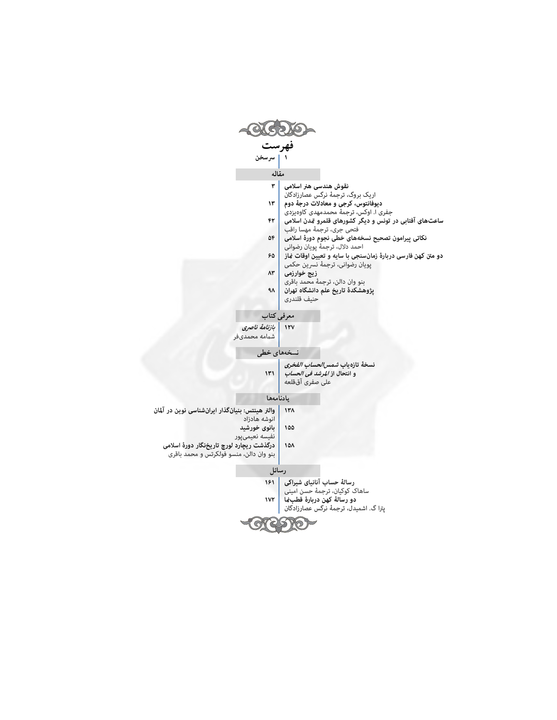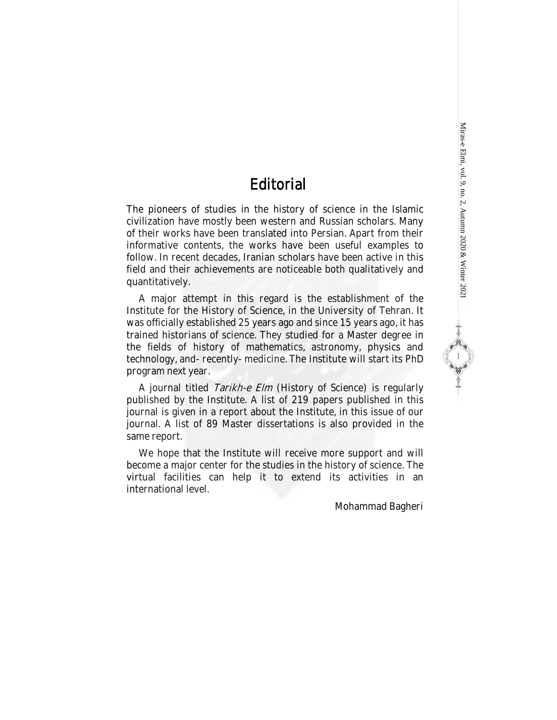24 1 2010

# **Editorial**

The pioneers of studies in the history of science in the Islamic civilization have mostly been western and Russian scholars. Many of their works have been translated into Persian. Apart from their informative contents, the works have been useful examples to follow. In recent decades, Iranian scholars have been active in this field and their achievements are noticeable both qualitatively and quantitatively.

A major attempt in this regard is the establishment of the Institute for the History of Science, in the University of Tehran. It was officially established 25 years ago and since 15 years ago, it has trained historians of science. They studied for a Master degree in the fields of history of mathematics, astronomy, physics and technology, and- recently- medicine. The Institute will start its PhD program next year.

A journal titled Tarikh-e Elm (History of Science) is regularly published by the Institute. A list of 219 papers published in this journal is given in a report about the Institute, in this issue of our journal. A list of 89 Master dissertations is also provided in the same report.

We hope that the Institute will receive more support and will become a major center for the studies in the history of science. The virtual facilities can help it to extend its activities in an international level.

Mohammad Bagheri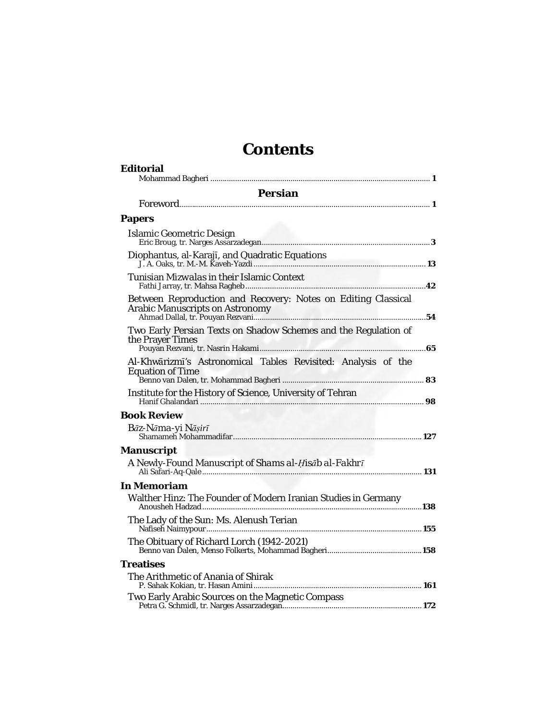# **Contents**

| Editorial                                                                                        |  |
|--------------------------------------------------------------------------------------------------|--|
| Persian                                                                                          |  |
|                                                                                                  |  |
| Papers                                                                                           |  |
| Islamic Geometric Design                                                                         |  |
|                                                                                                  |  |
| Tunisian <i>Mizwala</i> s in their Islamic Context                                               |  |
| Between Reproduction and Recovery: Notes on Editing Classical<br>Arabic Manuscripts on Astronomy |  |
| Two Early Persian Texts on Shadow Schemes and the Regulation of<br>the Prayer Times              |  |
| Al-Khwārizmī's Astronomical Tables Revisited: Analysis of the<br><b>Equation of Time</b>         |  |
| Institute for the History of Science, University of Tehran                                       |  |
| <b>Book Review</b>                                                                               |  |
| Bāz-Nāma-yi Nāșirī                                                                               |  |
| Manuscript                                                                                       |  |
| A Newly-Found Manuscript of Shams al-Hisab al-Fakhrī                                             |  |
| In Memoriam                                                                                      |  |
| Walther Hinz: The Founder of Modern Iranian Studies in Germany                                   |  |
| The Lady of the Sun: Ms. Alenush Terian                                                          |  |
|                                                                                                  |  |
| Treatises                                                                                        |  |
| The Arithmetic of Anania of Shirak                                                               |  |
| Two Early Arabic Sources on the Magnetic Compass                                                 |  |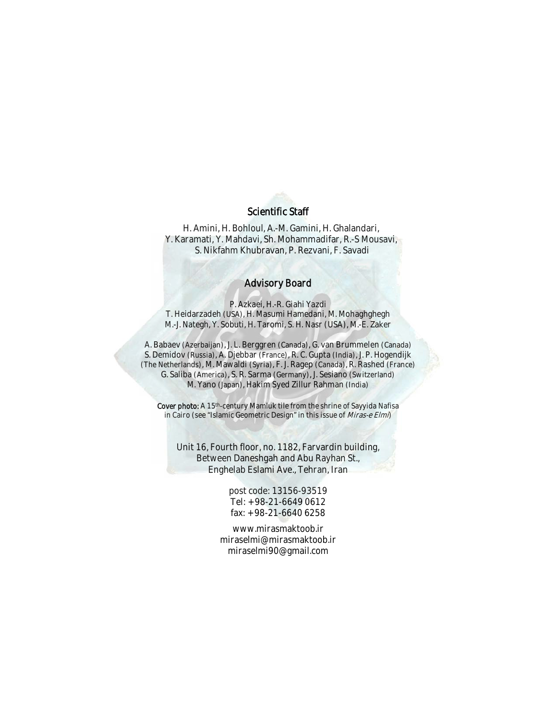#### Scientific Staff

H. Amini, H. Bohloul, A.-M. Gamini, H. Ghalandari, Y. Karamati, Y. Mahdavi, Sh. Mohammadifar, R.-S Mousavi, S. Nikfahm Khubravan, P. Rezvani, F. Savadi

#### Advisory Board

P. Azkaei, H.-R. Giahi Yazdi T. Heidarzadeh (USA), H. Masumi Hamedani, M. Mohaghghegh M.-J. Nategh, Y. Sobuti, H. Taromi, S. H. Nasr (USA), M.-E. Zaker

A. Babaev (Azerbaijan), J. L. Berggren (Canada), G. van Brummelen (Canada) S. Demidov (Russia), A. Djebbar (France), R. C. Gupta (India), J. P. Hogendijk (The Netherlands), M. Mawaldi (Syria), F. J. Ragep (Canada), R. Rashed (France) G. Saliba (America), S. R. Sarma (Germany), J. Sesiano (Switzerland) M. Yano (Japan), Hakim Syed Zillur Rahman (India)

Cover photo: A 15<sup>th</sup>-century Mamluk tile from the shrine of Sayyida Nafisa in Cairo (see "Islamic Geometric Design" in this issue of Miras-e Elmi)

Unit 16, Fourth floor, no. 1182, Farvardin building, Between Daneshgah and Abu Rayhan St., Enghelab Eslami Ave., Tehran, Iran

> post code: 13156-93519 Tel: +98-21-6649 0612 fax: +98-21-6640 6258

www.mirasmaktoob.ir miraselmi@mirasmaktoob.ir miraselmi90@gmail.com